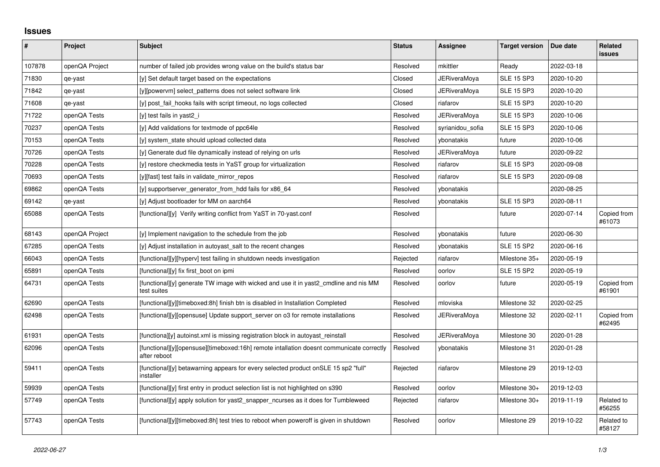## **Issues**

| #      | Project        | <b>Subject</b>                                                                                           | <b>Status</b> | Assignee            | <b>Target version</b> | Due date   | Related<br>issues     |
|--------|----------------|----------------------------------------------------------------------------------------------------------|---------------|---------------------|-----------------------|------------|-----------------------|
| 107878 | openQA Project | number of failed job provides wrong value on the build's status bar                                      | Resolved      | mkittler            | Ready                 | 2022-03-18 |                       |
| 71830  | qe-yast        | [y] Set default target based on the expectations                                                         | Closed        | <b>JERiveraMoya</b> | <b>SLE 15 SP3</b>     | 2020-10-20 |                       |
| 71842  | qe-yast        | [y][powervm] select patterns does not select software link                                               | Closed        | <b>JERiveraMoya</b> | <b>SLE 15 SP3</b>     | 2020-10-20 |                       |
| 71608  | qe-yast        | [y] post fail hooks fails with script timeout, no logs collected                                         | Closed        | riafarov            | <b>SLE 15 SP3</b>     | 2020-10-20 |                       |
| 71722  | openQA Tests   | [y] test fails in yast2 i                                                                                | Resolved      | <b>JERiveraMoya</b> | SLE 15 SP3            | 2020-10-06 |                       |
| 70237  | openQA Tests   | [y] Add validations for textmode of ppc64le                                                              | Resolved      | syrianidou sofia    | <b>SLE 15 SP3</b>     | 2020-10-06 |                       |
| 70153  | openQA Tests   | [y] system_state should upload collected data                                                            | Resolved      | ybonatakis          | future                | 2020-10-06 |                       |
| 70726  | openQA Tests   | [y] Generate dud file dynamically instead of relying on urls                                             | Resolved      | <b>JERiveraMoya</b> | future                | 2020-09-22 |                       |
| 70228  | openQA Tests   | [y] restore checkmedia tests in YaST group for virtualization                                            | Resolved      | riafarov            | <b>SLE 15 SP3</b>     | 2020-09-08 |                       |
| 70693  | openQA Tests   | [y][fast] test fails in validate_mirror_repos                                                            | Resolved      | riafarov            | <b>SLE 15 SP3</b>     | 2020-09-08 |                       |
| 69862  | openQA Tests   | [y] supportserver generator from hdd fails for x86 64                                                    | Resolved      | ybonatakis          |                       | 2020-08-25 |                       |
| 69142  | qe-yast        | [y] Adjust bootloader for MM on aarch64                                                                  | Resolved      | ybonatakis          | <b>SLE 15 SP3</b>     | 2020-08-11 |                       |
| 65088  | openQA Tests   | [functional][y] Verify writing conflict from YaST in 70-yast.conf                                        | Resolved      |                     | future                | 2020-07-14 | Copied from<br>#61073 |
| 68143  | openQA Project | [y] Implement navigation to the schedule from the job                                                    | Resolved      | vbonatakis          | future                | 2020-06-30 |                       |
| 67285  | openQA Tests   | [y] Adjust installation in autoyast_salt to the recent changes                                           | Resolved      | ybonatakis          | <b>SLE 15 SP2</b>     | 2020-06-16 |                       |
| 66043  | openQA Tests   | [functional][y][hyperv] test failing in shutdown needs investigation                                     | Rejected      | riafarov            | Milestone 35+         | 2020-05-19 |                       |
| 65891  | openQA Tests   | [functional][y] fix first boot on ipmi                                                                   | Resolved      | oorlov              | <b>SLE 15 SP2</b>     | 2020-05-19 |                       |
| 64731  | openQA Tests   | [functional][y] generate TW image with wicked and use it in yast2_cmdline and nis MM<br>test suites      | Resolved      | oorlov              | future                | 2020-05-19 | Copied from<br>#61901 |
| 62690  | openQA Tests   | [functional][y][timeboxed:8h] finish btn is disabled in Installation Completed                           | Resolved      | mloviska            | Milestone 32          | 2020-02-25 |                       |
| 62498  | openQA Tests   | [functional][y][opensuse] Update support server on 03 for remote installations                           | Resolved      | JERiveraMoya        | Milestone 32          | 2020-02-11 | Copied from<br>#62495 |
| 61931  | openQA Tests   | [functiona][y] autoinst.xml is missing registration block in autoyast reinstall                          | Resolved      | <b>JERiveraMoya</b> | Milestone 30          | 2020-01-28 |                       |
| 62096  | openQA Tests   | [functional][y][opensuse][timeboxed:16h] remote intallation doesnt communicate correctly<br>after reboot | Resolved      | vbonatakis          | Milestone 31          | 2020-01-28 |                       |
| 59411  | openQA Tests   | [functional][y] betawarning appears for every selected product on SLE 15 sp2 "full"<br>installer         | Rejected      | riafarov            | Milestone 29          | 2019-12-03 |                       |
| 59939  | openQA Tests   | [functional][y] first entry in product selection list is not highlighted on s390                         | Resolved      | oorlov              | Milestone 30+         | 2019-12-03 |                       |
| 57749  | openQA Tests   | [functional][y] apply solution for yast2_snapper_ncurses as it does for Tumbleweed                       | Rejected      | riafarov            | Milestone 30+         | 2019-11-19 | Related to<br>#56255  |
| 57743  | openQA Tests   | [functional][y][timeboxed:8h] test tries to reboot when poweroff is given in shutdown                    | Resolved      | oorlov              | Milestone 29          | 2019-10-22 | Related to<br>#58127  |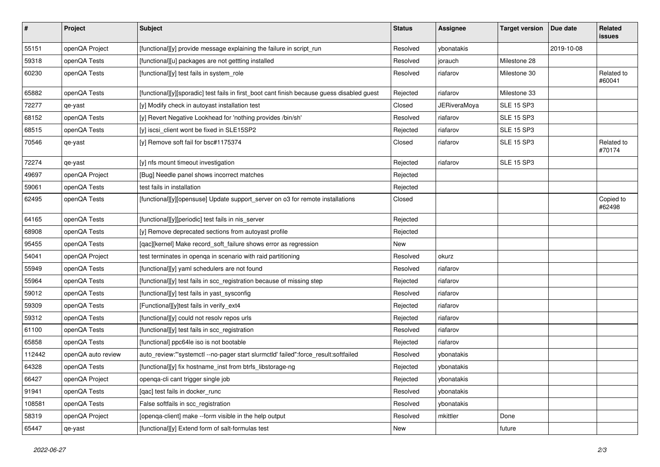| $\pmb{\#}$ | Project            | Subject                                                                                     | <b>Status</b> | <b>Assignee</b>     | <b>Target version</b> | Due date   | Related<br>issues    |
|------------|--------------------|---------------------------------------------------------------------------------------------|---------------|---------------------|-----------------------|------------|----------------------|
| 55151      | openQA Project     | [functional][y] provide message explaining the failure in script_run                        | Resolved      | ybonatakis          |                       | 2019-10-08 |                      |
| 59318      | openQA Tests       | [functional][u] packages are not gettting installed                                         | Resolved      | jorauch             | Milestone 28          |            |                      |
| 60230      | openQA Tests       | [functional][y] test fails in system_role                                                   | Resolved      | riafarov            | Milestone 30          |            | Related to<br>#60041 |
| 65882      | openQA Tests       | [functional][y][sporadic] test fails in first_boot cant finish because guess disabled guest | Rejected      | riafarov            | Milestone 33          |            |                      |
| 72277      | qe-yast            | [y] Modify check in autoyast installation test                                              | Closed        | <b>JERiveraMoya</b> | <b>SLE 15 SP3</b>     |            |                      |
| 68152      | openQA Tests       | [y] Revert Negative Lookhead for 'nothing provides /bin/sh'                                 | Resolved      | riafarov            | <b>SLE 15 SP3</b>     |            |                      |
| 68515      | openQA Tests       | [y] iscsi_client wont be fixed in SLE15SP2                                                  | Rejected      | riafarov            | <b>SLE 15 SP3</b>     |            |                      |
| 70546      | qe-yast            | [y] Remove soft fail for bsc#1175374                                                        | Closed        | riafarov            | <b>SLE 15 SP3</b>     |            | Related to<br>#70174 |
| 72274      | qe-yast            | [y] nfs mount timeout investigation                                                         | Rejected      | riafarov            | <b>SLE 15 SP3</b>     |            |                      |
| 49697      | openQA Project     | [Bug] Needle panel shows incorrect matches                                                  | Rejected      |                     |                       |            |                      |
| 59061      | openQA Tests       | test fails in installation                                                                  | Rejected      |                     |                       |            |                      |
| 62495      | openQA Tests       | [functional][y][opensuse] Update support_server on o3 for remote installations              | Closed        |                     |                       |            | Copied to<br>#62498  |
| 64165      | openQA Tests       | [functional][y][periodic] test fails in nis_server                                          | Rejected      |                     |                       |            |                      |
| 68908      | openQA Tests       | [y] Remove deprecated sections from autoyast profile                                        | Rejected      |                     |                       |            |                      |
| 95455      | openQA Tests       | [qac][kernel] Make record_soft_failure shows error as regression                            | New           |                     |                       |            |                      |
| 54041      | openQA Project     | test terminates in openga in scenario with raid partitioning                                | Resolved      | okurz               |                       |            |                      |
| 55949      | openQA Tests       | [functional][y] yaml schedulers are not found                                               | Resolved      | riafarov            |                       |            |                      |
| 55964      | openQA Tests       | [functional][y] test fails in scc_registration because of missing step                      | Rejected      | riafarov            |                       |            |                      |
| 59012      | openQA Tests       | [functional][y] test fails in yast_sysconfig                                                | Resolved      | riafarov            |                       |            |                      |
| 59309      | openQA Tests       | [Functional][y]test fails in verify_ext4                                                    | Rejected      | riafarov            |                       |            |                      |
| 59312      | openQA Tests       | [functional][y] could not resolv repos urls                                                 | Rejected      | riafarov            |                       |            |                      |
| 61100      | openQA Tests       | [functional][y] test fails in scc_registration                                              | Resolved      | riafarov            |                       |            |                      |
| 65858      | openQA Tests       | [functional] ppc64le iso is not bootable                                                    | Rejected      | riafarov            |                       |            |                      |
| 112442     | openQA auto review | auto_review:"'systemctl --no-pager start slurmctld' failed":force_result:softfailed         | Resolved      | ybonatakis          |                       |            |                      |
| 64328      | openQA Tests       | [functional][y] fix hostname_inst from btrfs_libstorage-ng                                  | Rejected      | vbonatakis          |                       |            |                      |
| 66427      | openQA Project     | openqa-cli cant trigger single job                                                          | Rejected      | ybonatakis          |                       |            |                      |
| 91941      | openQA Tests       | [qac] test fails in docker_runc                                                             | Resolved      | ybonatakis          |                       |            |                      |
| 108581     | openQA Tests       | False softfails in scc_registration                                                         | Resolved      | ybonatakis          |                       |            |                      |
| 58319      | openQA Project     | [openqa-client] make --form visible in the help output                                      | Resolved      | mkittler            | Done                  |            |                      |
| 65447      | qe-yast            | [functional][y] Extend form of salt-formulas test                                           | New           |                     | future                |            |                      |